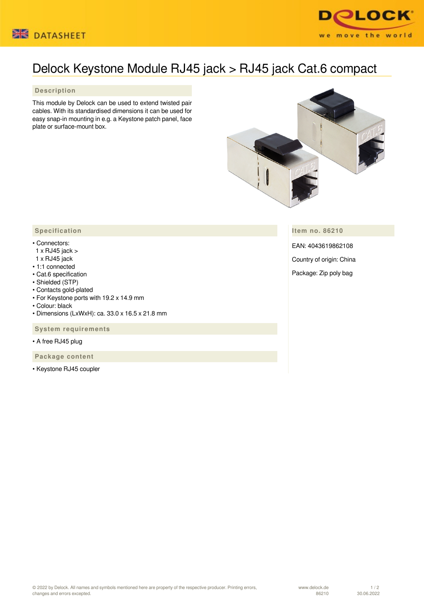



## Delock Keystone Module RJ45 jack > RJ45 jack Cat.6 compact

## **Description**

This module by Delock can be used to extend twisted pair cables. With its standardised dimensions it can be used for easy snap-in mounting in e.g. a Keystone patch panel, face plate or surface-mount box.



**Item no. 86210**

EAN: 4043619862108

Country of origin: China

Package: Zip poly bag

## **Specification**

## • Connectors:

- 1 x RJ45 jack >
- 1 x RJ45 jack
- 1:1 connected
- Cat.6 specification
- Shielded (STP)
- Contacts gold-plated
- For Keystone ports with 19.2 x 14.9 mm
- Colour: black
- Dimensions (LxWxH): ca. 33.0 x 16.5 x 21.8 mm

 **System requirements**

• A free RJ45 plug

 **Package content**

• Keystone RJ45 coupler